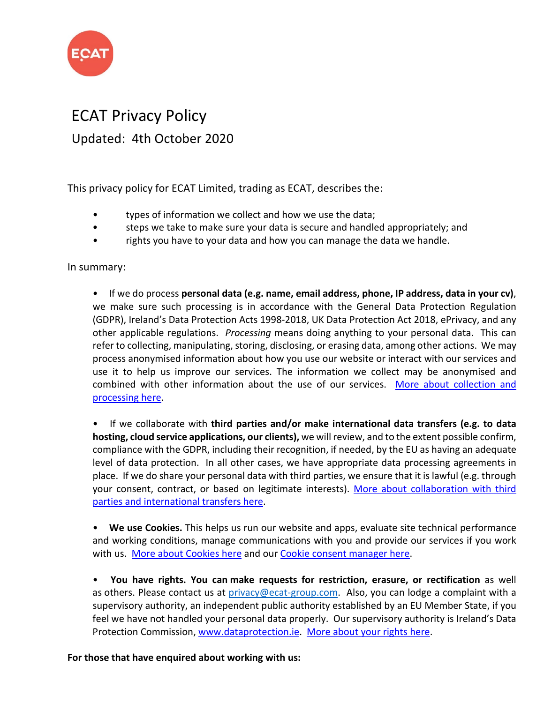

#### ECAT Privacy Policy Updated: 4th October 2020

This privacy policy for ECAT Limited, trading as ECAT, describes the:

- types of information we collect and how we use the data;
- steps we take to make sure your data is secure and handled appropriately; and
- rights you have to your data and how you can manage the data we handle.

In summary:

• If we do process **personal data (e.g. name, email address, phone, IP address, data in your cv)**, we make sure such processing is in accordance with the General Data Protection Regulation (GDPR), Ireland's Data Protection Acts 1998-2018, UK Data Protection Act 2018, ePrivacy, and any other applicable regulations. *Processing* means doing anything to your personal data. This can refer to collecting, manipulating, storing, disclosing, or erasing data, among other actions. We may process anonymised information about how you use our website or interact with our services and use it to help us improve our services. The information we collect may be anonymised and combined with other information about the use of our services. [More about collection and](https://www.ecat-group.com/privacy-policy/#privacy-terms-2)  [processing](https://www.ecat-group.com/privacy-policy/#privacy-terms-2) here.

• If we collaborate with **third parties and/or make international data transfers (e.g. to data hosting, cloud service applications, our clients),** we will review, and to the extent possible confirm, compliance with the GDPR, including their recognition, if needed, by the EU as having an adequate level of data protection. In all other cases, we have appropriate data processing agreements in place. If we do share your personal data with third parties, we ensure that it is lawful (e.g. through your consent, contract, or based on legitimate interests). [More about collaboration with third](https://www.ecat-group.com/privacy-policy/#privacy-terms-4)  parties [and international transfers here.](https://www.ecat-group.com/privacy-policy/#privacy-terms-4)

• **We use Cookies.** This helps us run our website and apps, evaluate site technical performance and working conditions, manage communications with you and provide our services if you work with us. [More about Cookies here](https://www.ecat-group.com/privacy-policy/#privacy-terms-7) and our [Cookie consent manager here.](https://www.ecat-group.com/privacy-policy/#policy)

• **You have rights. You can make requests for restriction, erasure, or rectification** as well as others. Please contact us at privacy@ecat-group.com. Also, you can lodge a complaint with a supervisory authority, an independent public authority established by an EU Member State, if you feel we have not handled your personal data properly. Our supervisory authority is Ireland's Data Protection Commission, [www.dataprotection.ie.](http://www.dataprotection.ie/) [More about your rights](https://www.ecat-group.com/privacy-policy/#privacy-terms-6) here.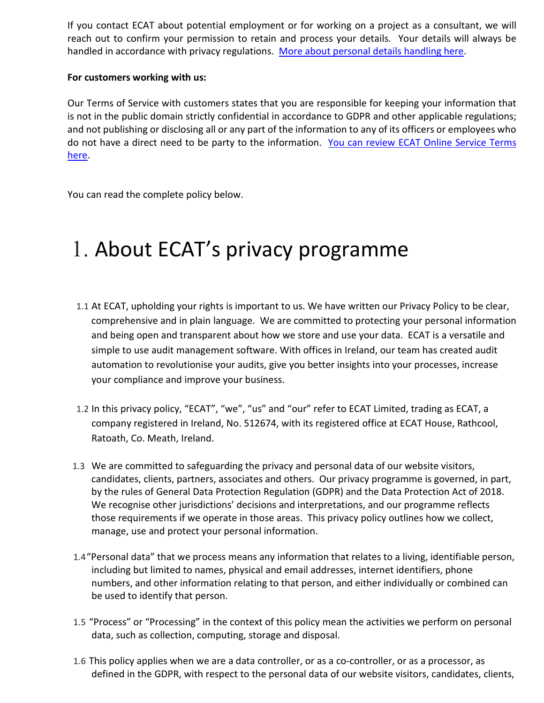If you contact ECAT about potential employment or for working on a project as a consultant, we will reach out to confirm your permission to retain and process your details. Your details will always be handled in accordance with privacy regulations. [More about personal details handling here.](https://www.ecat-group.com/privacy-policy/#privacy-terms-2)

#### **For customers working with us:**

Our Terms of Service with customers states that you are responsible for keeping your information that is not in the public domain strictly confidential in accordance to GDPR and other applicable regulations; and not publishing or disclosing all or any part of the information to any of its officers or employees who do not have a direct need to be party to the information. [You can review ECAT Online Service Terms](https://www.ecat-group.com/terms-of-service/)  [here.](https://www.ecat-group.com/terms-of-service/)

You can read the complete policy below.

# 1. About ECAT's privacy programme

- 1.1 At ECAT, upholding your rights is important to us. We have written our Privacy Policy to be clear, comprehensive and in plain language. We are committed to protecting your personal information and being open and transparent about how we store and use your data. ECAT is a versatile and simple to use audit management software. With offices in Ireland, our team has created audit automation to revolutionise your audits, give you better insights into your processes, increase your compliance and improve your business.
- 1.2 In this privacy policy, "ECAT", "we", "us" and "our" refer to ECAT Limited, trading as ECAT, a company registered in Ireland, No. 512674, with its registered office at ECAT House, Rathcool, Ratoath, Co. Meath, Ireland.
- 1.3 We are committed to safeguarding the privacy and personal data of our website visitors, candidates, clients, partners, associates and others. Our privacy programme is governed, in part, by the rules of General Data Protection Regulation (GDPR) and the Data Protection Act of 2018. We recognise other jurisdictions' decisions and interpretations, and our programme reflects those requirements if we operate in those areas. This privacy policy outlines how we collect, manage, use and protect your personal information.
- 1.4"Personal data" that we process means any information that relates to a living, identifiable person, including but limited to names, physical and email addresses, internet identifiers, phone numbers, and other information relating to that person, and either individually or combined can be used to identify that person.
- 1.5 "Process" or "Processing" in the context of this policy mean the activities we perform on personal data, such as collection, computing, storage and disposal.
- 1.6 This policy applies when we are a data controller, or as a co-controller, or as a processor, as defined in the GDPR, with respect to the personal data of our website visitors, candidates, clients,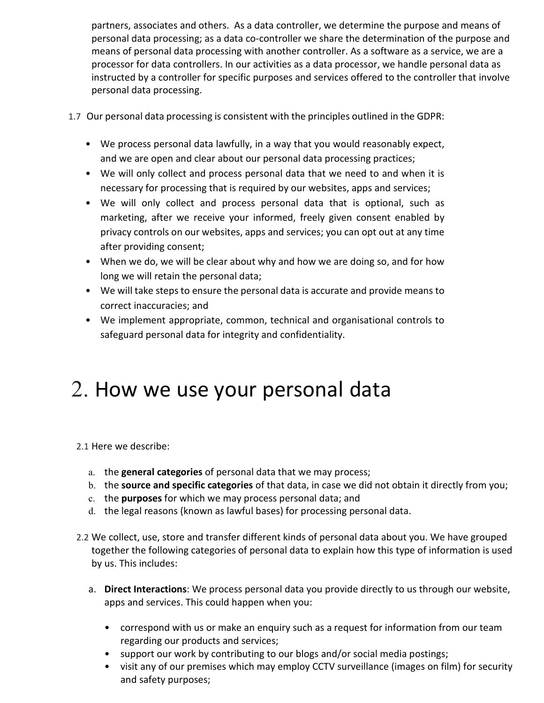partners, associates and others. As a data controller, we determine the purpose and means of personal data processing; as a data co-controller we share the determination of the purpose and means of personal data processing with another controller. As a software as a service, we are a processor for data controllers. In our activities as a data processor, we handle personal data as instructed by a controller for specific purposes and services offered to the controller that involve personal data processing.

- 1.7 Our personal data processing is consistent with the principles outlined in the GDPR:
	- We process personal data lawfully, in a way that you would reasonably expect, and we are open and clear about our personal data processing practices;
	- We will only collect and process personal data that we need to and when it is necessary for processing that is required by our websites, apps and services;
	- We will only collect and process personal data that is optional, such as marketing, after we receive your informed, freely given consent enabled by privacy controls on our websites, apps and services; you can opt out at any time after providing consent;
	- When we do, we will be clear about why and how we are doing so, and for how long we will retain the personal data;
	- We will take steps to ensure the personal data is accurate and provide means to correct inaccuracies; and
	- We implement appropriate, common, technical and organisational controls to safeguard personal data for integrity and confidentiality.

## 2. How we use your personal data

2.1 Here we describe:

- a. the **general categories** of personal data that we may process;
- b. the **source and specific categories** of that data, in case we did not obtain it directly from you;
- c. the **purposes** for which we may process personal data; and
- d. the legal reasons (known as lawful bases) for processing personal data.
- 2.2 We collect, use, store and transfer different kinds of personal data about you. We have grouped together the following categories of personal data to explain how this type of information is used by us. This includes:
	- a. **Direct Interactions**: We process personal data you provide directly to us through our website, apps and services. This could happen when you:
		- correspond with us or make an enquiry such as a request for information from our team regarding our products and services;
		- support our work by contributing to our blogs and/or social media postings;
		- visit any of our premises which may employ CCTV surveillance (images on film) for security and safety purposes;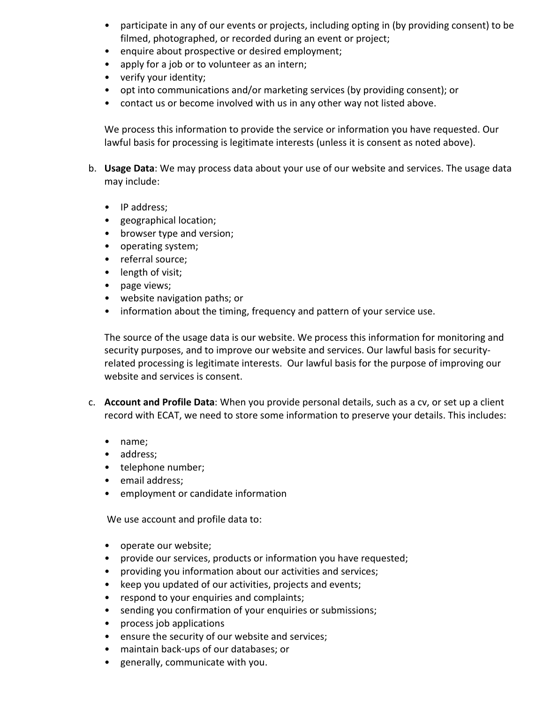- participate in any of our events or projects, including opting in (by providing consent) to be filmed, photographed, or recorded during an event or project;
- enquire about prospective or desired employment;
- apply for a job or to volunteer as an intern;
- verify your identity;
- opt into communications and/or marketing services (by providing consent); or
- contact us or become involved with us in any other way not listed above.

We process this information to provide the service or information you have requested. Our lawful basis for processing is legitimate interests (unless it is consent as noted above).

- b. **Usage Data**: We may process data about your use of our website and services. The usage data may include:
	- IP address;
	- geographical location;
	- browser type and version;
	- operating system;
	- referral source;
	- length of visit;
	- page views;
	- website navigation paths; or
	- information about the timing, frequency and pattern of your service use.

The source of the usage data is our website. We process this information for monitoring and security purposes, and to improve our website and services. Our lawful basis for securityrelated processing is legitimate interests. Our lawful basis for the purpose of improving our website and services is consent.

- c. **Account and Profile Data**: When you provide personal details, such as a cv, or set up a client record with ECAT, we need to store some information to preserve your details. This includes:
	- name;
	- address;
	- telephone number;
	- email address;
	- employment or candidate information

We use account and profile data to:

- operate our website;
- provide our services, products or information you have requested;
- providing you information about our activities and services;
- keep you updated of our activities, projects and events;
- respond to your enquiries and complaints;
- sending you confirmation of your enquiries or submissions;
- process job applications
- ensure the security of our website and services;
- maintain back-ups of our databases; or
- generally, communicate with you.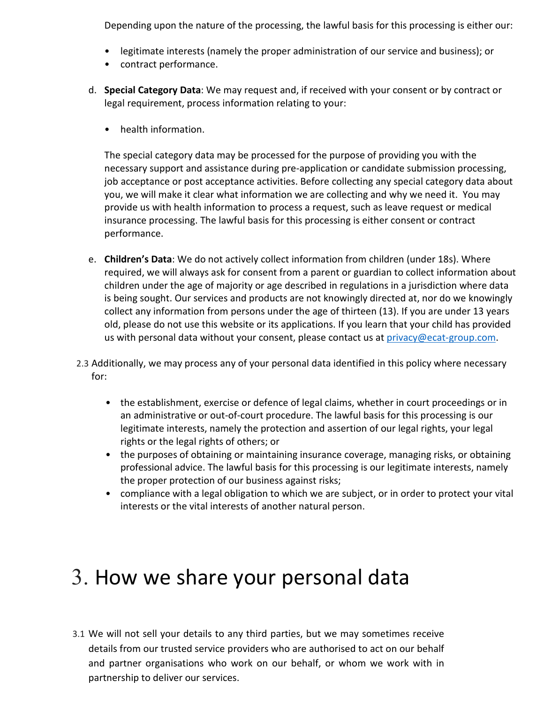Depending upon the nature of the processing, the lawful basis for this processing is either our:

- legitimate interests (namely the proper administration of our service and business); or
- contract performance.
- d. **Special Category Data**: We may request and, if received with your consent or by contract or legal requirement, process information relating to your:
	- health information.

The special category data may be processed for the purpose of providing you with the necessary support and assistance during pre-application or candidate submission processing, job acceptance or post acceptance activities. Before collecting any special category data about you, we will make it clear what information we are collecting and why we need it. You may provide us with health information to process a request, such as leave request or medical insurance processing. The lawful basis for this processing is either consent or contract performance.

- e. **Children's Data**: We do not actively collect information from children (under 18s). Where required, we will always ask for consent from a parent or guardian to collect information about children under the age of majority or age described in regulations in a jurisdiction where data is being sought. Our services and products are not knowingly directed at, nor do we knowingly collect any information from persons under the age of thirteen (13). If you are under 13 years old, please do not use this website or its applications. If you learn that your child has provided us with personal data without your consent, please contact us at privacy@ecat-group.com.
- 2.3 Additionally, we may process any of your personal data identified in this policy where necessary for:
	- the establishment, exercise or defence of legal claims, whether in court proceedings or in an administrative or out-of-court procedure. The lawful basis for this processing is our legitimate interests, namely the protection and assertion of our legal rights, your legal rights or the legal rights of others; or
	- the purposes of obtaining or maintaining insurance coverage, managing risks, or obtaining professional advice. The lawful basis for this processing is our legitimate interests, namely the proper protection of our business against risks;
	- compliance with a legal obligation to which we are subject, or in order to protect your vital interests or the vital interests of another natural person.

## 3. How we share your personal data

3.1 We will not sell your details to any third parties, but we may sometimes receive details from our trusted service providers who are authorised to act on our behalf and partner organisations who work on our behalf, or whom we work with in partnership to deliver our services.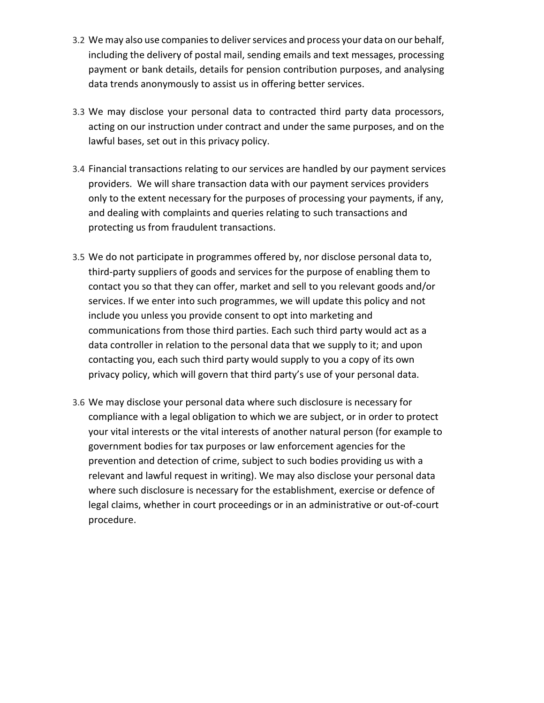- 3.2 We may also use companies to deliver services and process your data on our behalf, including the delivery of postal mail, sending emails and text messages, processing payment or bank details, details for pension contribution purposes, and analysing data trends anonymously to assist us in offering better services.
- 3.3 We may disclose your personal data to contracted third party data processors, acting on our instruction under contract and under the same purposes, and on the lawful bases, set out in this privacy policy.
- 3.4 Financial transactions relating to our services are handled by our payment services providers. We will share transaction data with our payment services providers only to the extent necessary for the purposes of processing your payments, if any, and dealing with complaints and queries relating to such transactions and protecting us from fraudulent transactions.
- 3.5 We do not participate in programmes offered by, nor disclose personal data to, third-party suppliers of goods and services for the purpose of enabling them to contact you so that they can offer, market and sell to you relevant goods and/or services. If we enter into such programmes, we will update this policy and not include you unless you provide consent to opt into marketing and communications from those third parties. Each such third party would act as a data controller in relation to the personal data that we supply to it; and upon contacting you, each such third party would supply to you a copy of its own privacy policy, which will govern that third party's use of your personal data.
- 3.6 We may disclose your personal data where such disclosure is necessary for compliance with a legal obligation to which we are subject, or in order to protect your vital interests or the vital interests of another natural person (for example to government bodies for tax purposes or law enforcement agencies for the prevention and detection of crime, subject to such bodies providing us with a relevant and lawful request in writing). We may also disclose your personal data where such disclosure is necessary for the establishment, exercise or defence of legal claims, whether in court proceedings or in an administrative or out-of-court procedure.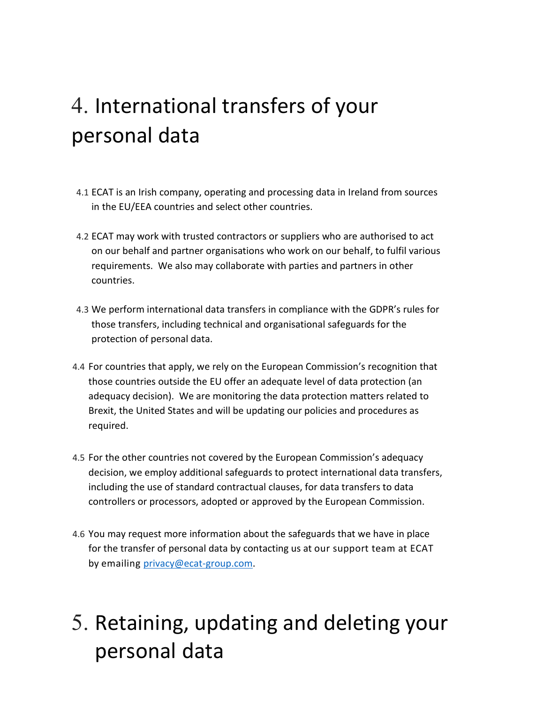# 4. International transfers of your personal data

- 4.1 ECAT is an Irish company, operating and processing data in Ireland from sources in the EU/EEA countries and select other countries.
- 4.2 ECAT may work with trusted contractors or suppliers who are authorised to act on our behalf and partner organisations who work on our behalf, to fulfil various requirements. We also may collaborate with parties and partners in other countries.
- 4.3 We perform international data transfers in compliance with the GDPR's rules for those transfers, including technical and organisational safeguards for the protection of personal data.
- 4.4 For countries that apply, we rely on the European Commission's recognition that those countries outside the EU offer an adequate level of data protection (an adequacy decision). We are monitoring the data protection matters related to Brexit, the United States and will be updating our policies and procedures as required.
- 4.5 For the other countries not covered by the European Commission's adequacy decision, we employ additional safeguards to protect international data transfers, including the use of standard contractual clauses, for data transfers to data controllers or processors, adopted or approved by the European Commission.
- 4.6 You may request more information about the safeguards that we have in place for the transfer of personal data by contacting us at our support team at ECAT by emailing privacy@ecat-group.com.

# 5. Retaining, updating and deleting your personal data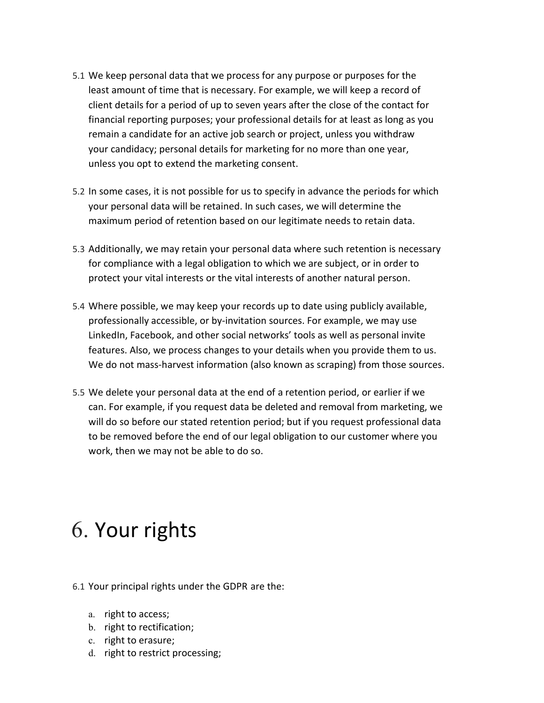- 5.1 We keep personal data that we process for any purpose or purposes for the least amount of time that is necessary. For example, we will keep a record of client details for a period of up to seven years after the close of the contact for financial reporting purposes; your professional details for at least as long as you remain a candidate for an active job search or project, unless you withdraw your candidacy; personal details for marketing for no more than one year, unless you opt to extend the marketing consent.
- 5.2 In some cases, it is not possible for us to specify in advance the periods for which your personal data will be retained. In such cases, we will determine the maximum period of retention based on our legitimate needs to retain data.
- 5.3 Additionally, we may retain your personal data where such retention is necessary for compliance with a legal obligation to which we are subject, or in order to protect your vital interests or the vital interests of another natural person.
- 5.4 Where possible, we may keep your records up to date using publicly available, professionally accessible, or by-invitation sources. For example, we may use LinkedIn, Facebook, and other social networks' tools as well as personal invite features. Also, we process changes to your details when you provide them to us. We do not mass-harvest information (also known as scraping) from those sources.
- 5.5 We delete your personal data at the end of a retention period, or earlier if we can. For example, if you request data be deleted and removal from marketing, we will do so before our stated retention period; but if you request professional data to be removed before the end of our legal obligation to our customer where you work, then we may not be able to do so.

## 6. Your rights

- 6.1 Your principal rights under the GDPR are the:
	- a. right to access;
	- b. right to rectification;
	- c. right to erasure;
	- d. right to restrict processing;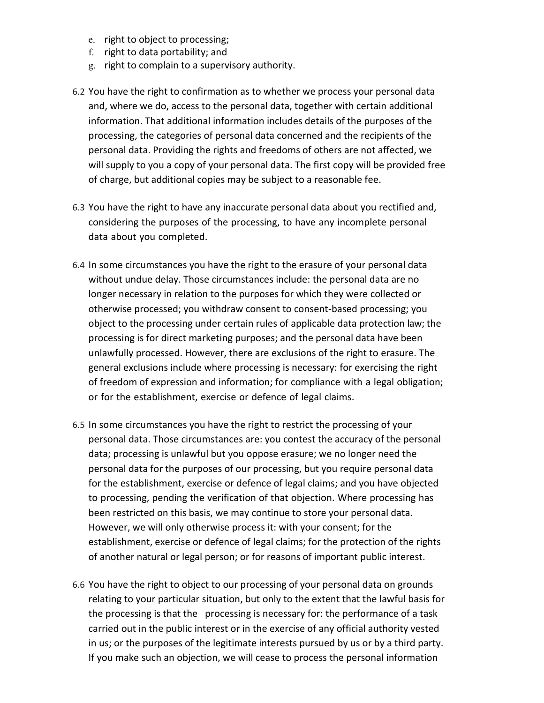- e. right to object to processing;
- f. right to data portability; and
- g. right to complain to a supervisory authority.
- 6.2 You have the right to confirmation as to whether we process your personal data and, where we do, access to the personal data, together with certain additional information. That additional information includes details of the purposes of the processing, the categories of personal data concerned and the recipients of the personal data. Providing the rights and freedoms of others are not affected, we will supply to you a copy of your personal data. The first copy will be provided free of charge, but additional copies may be subject to a reasonable fee.
- 6.3 You have the right to have any inaccurate personal data about you rectified and, considering the purposes of the processing, to have any incomplete personal data about you completed.
- 6.4 In some circumstances you have the right to the erasure of your personal data without undue delay. Those circumstances include: the personal data are no longer necessary in relation to the purposes for which they were collected or otherwise processed; you withdraw consent to consent-based processing; you object to the processing under certain rules of applicable data protection law; the processing is for direct marketing purposes; and the personal data have been unlawfully processed. However, there are exclusions of the right to erasure. The general exclusions include where processing is necessary: for exercising the right of freedom of expression and information; for compliance with a legal obligation; or for the establishment, exercise or defence of legal claims.
- 6.5 In some circumstances you have the right to restrict the processing of your personal data. Those circumstances are: you contest the accuracy of the personal data; processing is unlawful but you oppose erasure; we no longer need the personal data for the purposes of our processing, but you require personal data for the establishment, exercise or defence of legal claims; and you have objected to processing, pending the verification of that objection. Where processing has been restricted on this basis, we may continue to store your personal data. However, we will only otherwise process it: with your consent; for the establishment, exercise or defence of legal claims; for the protection of the rights of another natural or legal person; or for reasons of important public interest.
- 6.6 You have the right to object to our processing of your personal data on grounds relating to your particular situation, but only to the extent that the lawful basis for the processing is that the processing is necessary for: the performance of a task carried out in the public interest or in the exercise of any official authority vested in us; or the purposes of the legitimate interests pursued by us or by a third party. If you make such an objection, we will cease to process the personal information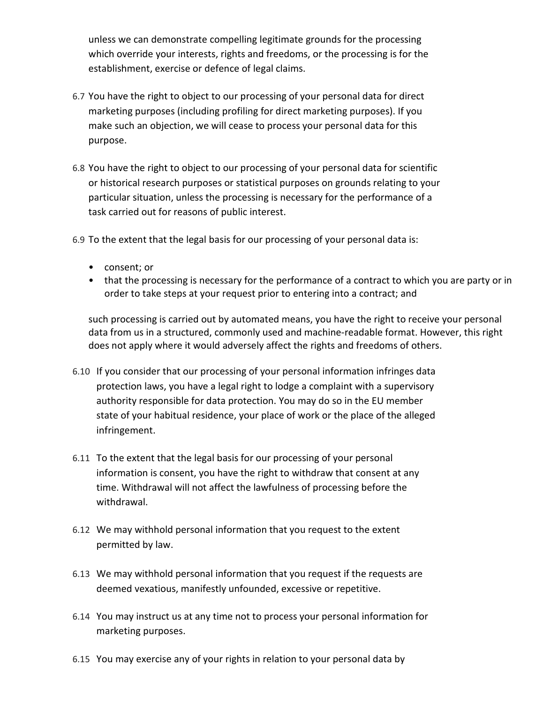unless we can demonstrate compelling legitimate grounds for the processing which override your interests, rights and freedoms, or the processing is for the establishment, exercise or defence of legal claims.

- 6.7 You have the right to object to our processing of your personal data for direct marketing purposes (including profiling for direct marketing purposes). If you make such an objection, we will cease to process your personal data for this purpose.
- 6.8 You have the right to object to our processing of your personal data for scientific or historical research purposes or statistical purposes on grounds relating to your particular situation, unless the processing is necessary for the performance of a task carried out for reasons of public interest.
- 6.9 To the extent that the legal basis for our processing of your personal data is:
	- consent; or
	- that the processing is necessary for the performance of a contract to which you are party or in order to take steps at your request prior to entering into a contract; and

such processing is carried out by automated means, you have the right to receive your personal data from us in a structured, commonly used and machine-readable format. However, this right does not apply where it would adversely affect the rights and freedoms of others.

- 6.10 If you consider that our processing of your personal information infringes data protection laws, you have a legal right to lodge a complaint with a supervisory authority responsible for data protection. You may do so in the EU member state of your habitual residence, your place of work or the place of the alleged infringement.
- 6.11 To the extent that the legal basis for our processing of your personal information is consent, you have the right to withdraw that consent at any time. Withdrawal will not affect the lawfulness of processing before the withdrawal.
- 6.12 We may withhold personal information that you request to the extent permitted by law.
- 6.13 We may withhold personal information that you request if the requests are deemed vexatious, manifestly unfounded, excessive or repetitive.
- 6.14 You may instruct us at any time not to process your personal information for marketing purposes.
- 6.15 You may exercise any of your rights in relation to your personal data by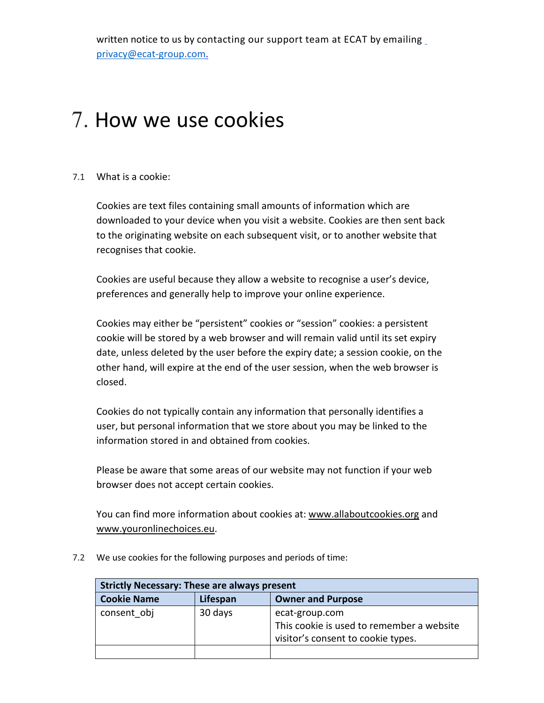## 7. How we use cookies

#### 7.1 What is a cookie:

Cookies are text files containing small amounts of information which are downloaded to your device when you visit a website. Cookies are then sent back to the originating website on each subsequent visit, or to another website that recognises that cookie.

Cookies are useful because they allow a website to recognise a user's device, preferences and generally help to improve your online experience.

Cookies may either be "persistent" cookies or "session" cookies: a persistent cookie will be stored by a web browser and will remain valid until its set expiry date, unless deleted by the user before the expiry date; a session cookie, on the other hand, will expire at the end of the user session, when the web browser is closed.

Cookies do not typically contain any information that personally identifies a user, but personal information that we store about you may be linked to the information stored in and obtained from cookies.

Please be aware that some areas of our website may not function if your web browser does not accept certain cookies.

You can find more information about cookies at: [www.allaboutcookies.org](http://www.allaboutcookies.org/) and [www.youronlinechoices.eu.](http://www.youronlinechoices.eu/)

7.2 We use cookies for the following purposes and periods of time:

| <b>Strictly Necessary: These are always present</b> |          |                                                                                                   |
|-----------------------------------------------------|----------|---------------------------------------------------------------------------------------------------|
| <b>Cookie Name</b>                                  | Lifespan | <b>Owner and Purpose</b>                                                                          |
| consent obj                                         | 30 days  | ecat-group.com<br>This cookie is used to remember a website<br>visitor's consent to cookie types. |
|                                                     |          |                                                                                                   |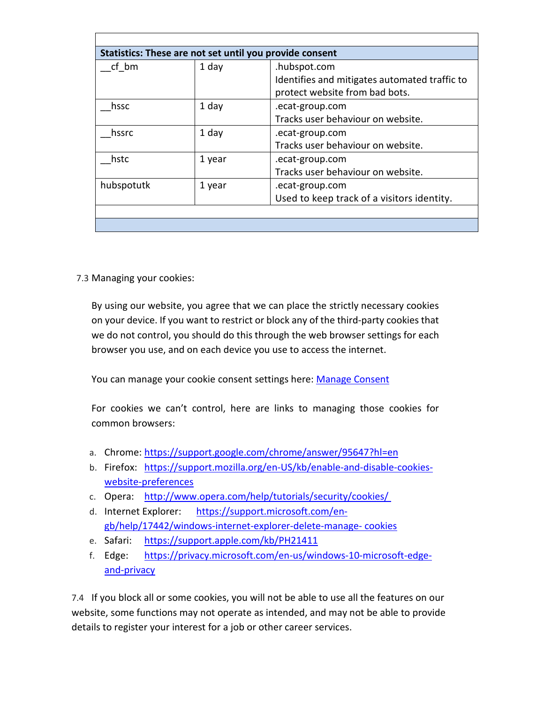| Statistics: These are not set until you provide consent |        |                                               |
|---------------------------------------------------------|--------|-----------------------------------------------|
| cf bm                                                   | 1 day  | .hubspot.com                                  |
|                                                         |        | Identifies and mitigates automated traffic to |
|                                                         |        | protect website from bad bots.                |
| hssc                                                    | 1 day  | .ecat-group.com                               |
|                                                         |        | Tracks user behaviour on website.             |
| hssrc                                                   | 1 day  | .ecat-group.com                               |
|                                                         |        | Tracks user behaviour on website.             |
| hstc                                                    | 1 year | .ecat-group.com                               |
|                                                         |        | Tracks user behaviour on website.             |
| hubspotutk                                              | 1 year | .ecat-group.com                               |
|                                                         |        | Used to keep track of a visitors identity.    |
|                                                         |        |                                               |
|                                                         |        |                                               |

7.3 Managing your cookies:

By using our website, you agree that we can place the strictly necessary cookies on your device. If you want to restrict or block any of the third-party cookies that we do not control, you should do this through the web browser settings for each browser you use, and on each device you use to access the internet.

You can manage your cookie consent settings here: [Manage Consent](https://www.ecat-group.com/privacy-policy/#policy)

For cookies we can't control, here are links to managing those cookies for common browsers:

- a. Chrome: <https://support.google.com/chrome/answer/95647?hl=en>
- b. Firefox: [https://support.mozilla.org/en-US/kb/enable-and-disable-cookies](https://support.mozilla.org/en-US/kb/enable-and-disable-cookies-website-preferences)[website-preferences](https://support.mozilla.org/en-US/kb/enable-and-disable-cookies-website-preferences)
- c. Opera: http://www.opera.com/help/tutorials/security/cookies/
- d. Internet Explorer: [https://support.microsoft.com/en](https://support.microsoft.com/en-gb/help/17442/windows-internet-explorer-delete-manage-cookies)[gb/help/17442/windows-internet-explorer-delete-manage-](https://support.microsoft.com/en-gb/help/17442/windows-internet-explorer-delete-manage-cookies) cookies
- e. Safari: <https://support.apple.com/kb/PH21411>
- f. Edge: [https://privacy.microsoft.com/en-us/windows-10-microsoft-edge](https://privacy.microsoft.com/en-us/windows-10-microsoft-edge-and-privacy)[and-privacy](https://privacy.microsoft.com/en-us/windows-10-microsoft-edge-and-privacy)

7.4 If you block all or some cookies, you will not be able to use all the features on our website, some functions may not operate as intended, and may not be able to provide details to register your interest for a job or other career services.